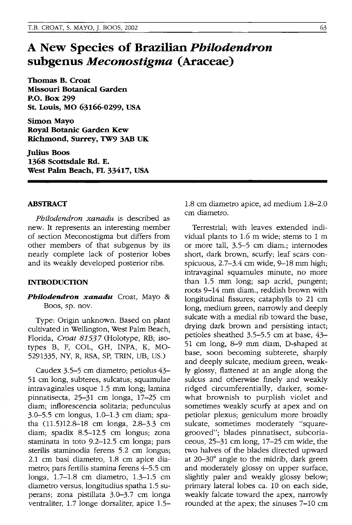## **A New Species of Brazilian** *Philodendron*  **subgenus** *Meconostigma* **(Araceae)**

**Thomas B. Croat Missouri Botanical Garden P.o. Box 299 St. Louis, MO 63166-0299, USA** 

Simon Mayo **Royal Botanic Garden Kew Richmond, Surrey, TW9 3AB UK** 

**Julius Boos 1368 Scottsdale Rd. E. West Pahn Beach, FL 33417, USA** 

## **ABSTRACT**

*Philodendron xanadu* is described as new. It represents an interesting member of section Meconostigma but differs from other members of that subgenus by its nearly complete lack of posterior lobes and its weakly developed posterior ribs.

## **INTRODUCTION**

*Philodendron xanadu* Croat, Mayo & Boos, sp. nov.

Type: Origin unknown. Based on plant cultivated in Wellington, West Palm Beach, Florida, Croat 81537 (Holotype, RB; isotypes B, F, COL, GH, INPA, K, MO-5291335, NY, R, RSA, SP, TRIN, VB, US.)

Caudex 3.5-5 cm diametro; petiolus 43- 51 cm long, subteres, sulcatus; squamulae intravaginales usque 1.5 mm long; lamina pinnatisecta, 25-31 cm longa, 17-25 cm diam; inflorescencia solitaria; pedunculus 3.0-5.5 cm longus, 1.0-1.3 cm diam; spatha  $(11.5)12.8-18$  cm longa,  $2.8-3.3$  cm diam; spadix 8.5-12.5 cm longus; zona staminata in toto 9.2-12.5 cm longa; pars sterilis staminodia ferens 5.2 cm longus; 2.1 cm basi diametro, 1.8 cm apice diametro; pars fertilis stamina ferens 4-5.5 cm longa, 1.7-1.8 cm diametro, 1.3-1.5 cm diametro versus, longitudius spatha 1.5 superans; zona pistillata 3.0-3.7 cm longa ventraliter, 1.7 longe dorsaliter, apice 1.51.8 cm diametro apice, ad medium 1.8-2.0 cm diametro.

Terrestrial; with leaves extended individual plants to 1.6 m wide; stems to 1 m or more tall, 3.5-5 cm diam.; internodes short, dark brown, scurfy; leaf scars conspicuous, 2.7-3.4 cm wide, 9-18 mm high; intravaginal squamules minute, no more than 1.5 mm long; sap acrid, pungent; roots 9-14 mm diam., reddish brown with longitudinal fissures; cataphylls to 21 cm long, medium green, narrowly and deeply sulcate with a medial rib toward the base, drying dark brown and persisting intact; petioles sheathed 3.5-5.5 cm at base, 43- 51 cm long, 8-9 mm diam, D-shaped at base, soon becoming subterete, sharply and deeply sulcate, medium green, weakly glossy, flattened at an angle along the sulcus and otherwise finely and weakly ridged circumferentially, darker, somewhat brownish to purplish violet and sometimes weakly scurfy at apex and on petiolar plexus; geniculum more broadly sulcate, sometimes moderately "squaregrooved"; blades pinnatisect, subcoriaceous, 25-31 cm long, 17-25 cm wide, the two halves of the blades directed upward at 20-30° angle to the midrib, dark green and moderately glossy on upper surface, slightly paler and weakly glossy below; primary lateral lobes ca. 10 on each side, weakly falcate toward the apex, narrowly rounded at the apex; the sinuses 7-10 cm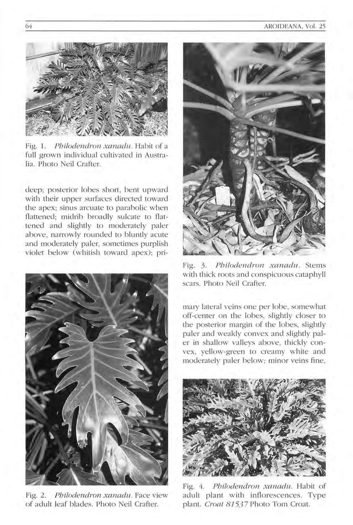

Fig. 1. Philodendron xanadu. Habit of a full grown individual cultivated in Australia. Photo Neil Crafter.

deep; posterior lobes short, bent upward with their upper surfaces directed toward the apex; sinus arcuate to parabolic when flattened; midrib broadly sulcate to flattened and slightly to moderately paler above, narrowly rounded to bluntly acute and moderately paler, sometimes purplish violet below (whitish toward apex); pri-



Fig. 2. Pbilodendron xanadu. Face view of adult leaf blades. Photo Neil Crafter.



Fig. 3. Philodendron xanadu. Stems with thick roots and conspicuous cataphyll scars. Photo Neil Crafter.

mary lateral veins one per lobe, somewhat off-center on the lobes, slightly closer to the posterior margin of the lobes, slightly paler and weakly convex and slightly paler in shallow valleys above, thickly convex, yellow-green to creamy white and moderately paler below; minor veins fine,



Fig. 4. Philodendron xanadu. Habit of adult plant with inflorescences. Type plant. Croat 81537 Photo Tom Croat.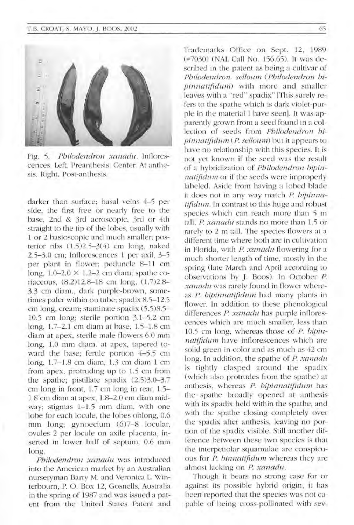

Fig. 5. Philodendron xanadu. Inflorescences. Left. Preanthesis. Center. At anthesis. Right. Post-anthesis.

darker than surface; basal veins 4-5 per side, the first free or nearly free to the base, 2nd & 3rd acroscopic, 3rd or 4th straight to the tip of the lobes, usually with 1 or 2 basioscopic and much smaller; posterior ribs  $(1.5)2.5-3(4)$  cm long, naked 2.5-3.0 cm; Inflorescences 1 per axil, 3-5 per plant in flower; peduncle 8-11 cm long,  $1.0-2.0 \times 1.2-2$  cm diam; spathe coriaceous, (8.2)12.8-18 cm long, (1.7)2.8-3.3 cm diam., dark purple-brown, sometimes paler within on tube; spadix 8.5-12.5 cm long, cream; staminate spadix (5.5)8.5-10.5 cm long; sterile portion 3. 1-5.2 cm long,  $1.7-2.1$  cm diam at base,  $1.5-1.8$  cm diam at apex, sterile male flowers 6.0 mm long, 1.0 mm diam. at apex, tapered toward the base; fertile portion 4-5.5 cm long, 1.7-1.8 cm diam, 1.3 cm diam 1 cm from apex, protruding up to  $1.5$  cm from the spathe; pistillate spadix  $(2.5)3.0-3.7$ cm long in front,  $1.7$  cm long in rear,  $1.5-$ 1.8 cm diam at apex, 1.8-2.0 cm diam midway; stigmas  $1-1.5$  mm diam, with one lobe for each locule, the lobes oblong, 0.6 mm long; gynoecium (6)7-8 locular, ovules 2 per locule on axile placenta, inserted in lower half of septum, 0.6 mm long.

Philodendron xanadu was introduced into the American market by an Australian nurseryman Barry M. and Veronica L. Winterbourn, P. O. Box 12, Gosnells, Australia in the spring of 1987 and was issued a patent from the United States Patent and Trademarks Office on Sept. 12, 1989 (=7030) (NAL Call No. 156.65). It was described in the patent as being a cultivar of Philodendron. selloum (Philodendron bipinnatifidum) with more and smaller leaves with a "red" spadix" [This surely refers to the spathe which is dark violet-purple in the material I have seen]. It was apparently grown from a seed found in a collection of seeds from Philodendron bipinnatifidum (P. selloum) but it appears to have no relationship with this species. It is not yet known if the seed was the result of a hybridization of Philodendron hipinnatifidum or if the seeds were improperly labeled. Aside from having a lobed blade it does not in any way match P. bipinna $t$ ifidum. In contrast to this huge and robust species which can reach more than 5 m tall, P, xanadu stands no more than 1.5 or rarely to 2 m tall. The species flowers at a different time where both are in cultivation in Florida, with  $P$ . xanadu flowering for a much shorter length of time, mostly in the spring (late March and April according to observations by J. Boos). In October *P.* xanadu was rarely found in flower whereas P. bipinnatifidum had many plants in flower. In addition to these phenological differences P. xanadu has purple inflorescences which are much smaller, less than  $10.5$  cm long, whereas those of  $P$ . bipinnatifidum have inflorescences which are solid green in color and as much as 42 cm long. In addition, the spathe of  $P$ , xanadu is tightly clasped around the spadix (which also protrudes from the spathe) at anthesis, whereas P. bipinnatifidum has the spathe broadly opened at anthesis with its spadix held within the spathe, and with the spathe closing completely over the spadix after anthesis, leaving no portion of the spadix visible. Still another difference between these two species is that the interpetiolar squamulae are conspicuous for P. binnatifidum whereas they are almost lacking on P. xanadu.

Though it bears no strong case for or against its possible hybrid origin, it has been reported that the species was not capable of being cross-pollinated with sev-